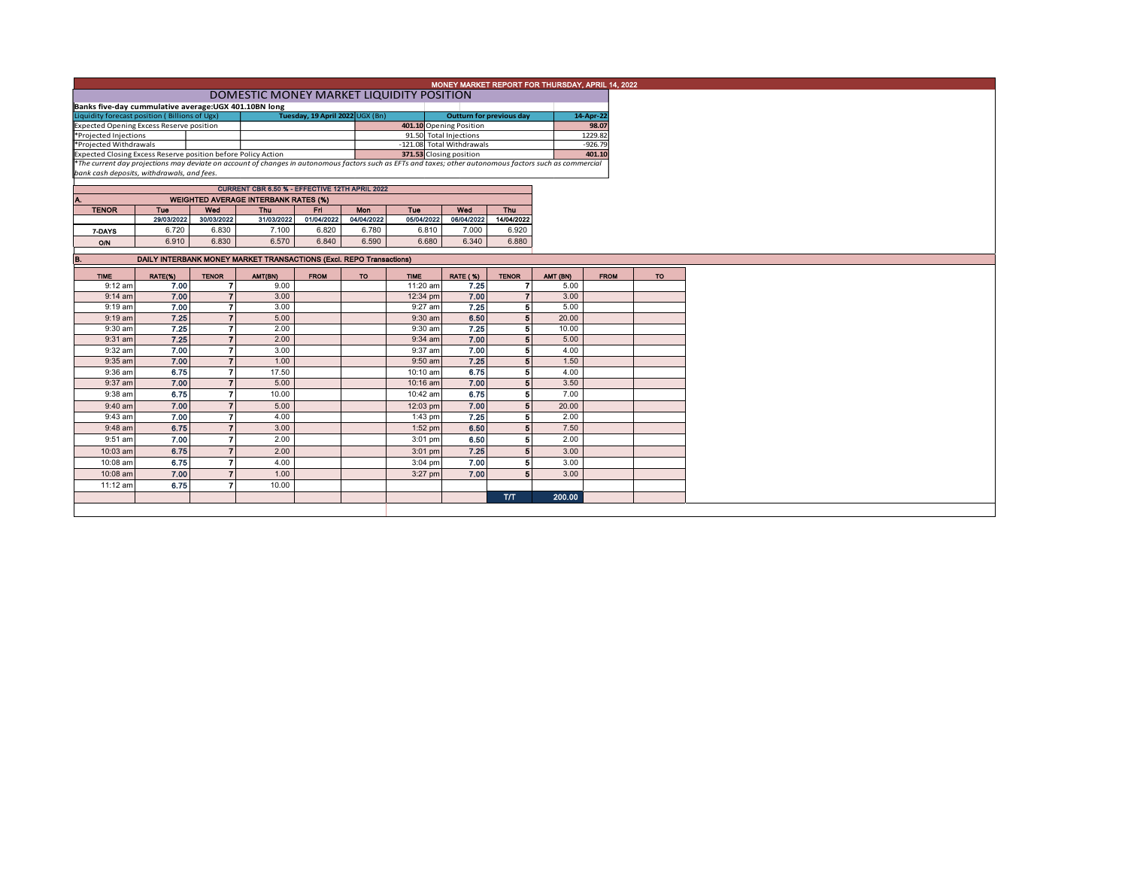|                                                                                                                                                                                                                           | MONEY MARKET REPORT FOR THURSDAY, APRIL 14, 2022                    |                          |                                             |             |                         |                        |                           |              |          |             |           |  |  |
|---------------------------------------------------------------------------------------------------------------------------------------------------------------------------------------------------------------------------|---------------------------------------------------------------------|--------------------------|---------------------------------------------|-------------|-------------------------|------------------------|---------------------------|--------------|----------|-------------|-----------|--|--|
|                                                                                                                                                                                                                           | DOMESTIC MONEY MARKET LIQUIDITY POSITION                            |                          |                                             |             |                         |                        |                           |              |          |             |           |  |  |
|                                                                                                                                                                                                                           | Banks five-day cummulative average: UGX 401.10BN long               |                          |                                             |             |                         |                        |                           |              |          |             |           |  |  |
| Liquidity forecast position (Billions of Ugx)                                                                                                                                                                             | Tuesday, 19 April 2022 UGX (Bn)                                     |                          | Outturn for previous day                    |             |                         | 14-Apr-22              |                           |              |          |             |           |  |  |
| <b>Expected Opening Excess Reserve position</b>                                                                                                                                                                           |                                                                     |                          |                                             |             |                         |                        | 401.10 Opening Position   |              |          | 98.07       |           |  |  |
| *Projected Injections                                                                                                                                                                                                     |                                                                     |                          |                                             |             |                         | 91.50 Total Injections |                           |              | 1229.82  |             |           |  |  |
| *Projected Withdrawals                                                                                                                                                                                                    |                                                                     |                          |                                             |             |                         |                        | -121.08 Total Withdrawals |              |          | $-926.79$   |           |  |  |
| Expected Closing Excess Reserve position before Policy Action<br>*The current day projections may deviate on account of changes in autonomous factors such as EFTs and taxes; other autonomous factors such as commercial |                                                                     |                          |                                             |             | 371.53 Closing position |                        |                           |              | 401.10   |             |           |  |  |
|                                                                                                                                                                                                                           |                                                                     |                          |                                             |             |                         |                        |                           |              |          |             |           |  |  |
| bank cash deposits, withdrawals, and fees.                                                                                                                                                                                |                                                                     |                          |                                             |             |                         |                        |                           |              |          |             |           |  |  |
| CURRENT CBR 6.50 % - EFFECTIVE 12TH APRIL 2022                                                                                                                                                                            |                                                                     |                          |                                             |             |                         |                        |                           |              |          |             |           |  |  |
| Α.                                                                                                                                                                                                                        |                                                                     |                          | <b>WEIGHTED AVERAGE INTERBANK RATES (%)</b> |             |                         |                        |                           |              |          |             |           |  |  |
| <b>TENOR</b>                                                                                                                                                                                                              | Tue                                                                 | Wed                      | Thu                                         | Fri.        | Mon                     | Tue                    | Wed                       | Thu          |          |             |           |  |  |
|                                                                                                                                                                                                                           | 29/03/2022                                                          | 30/03/2022               | 31/03/2022                                  | 01/04/2022  | 04/04/2022              | 05/04/2022             | 06/04/2022                | 14/04/2022   |          |             |           |  |  |
| 7-DAYS                                                                                                                                                                                                                    | 6.720                                                               | 6.830                    | 7.100                                       | 6.820       | 6.780                   | 6.810                  | 7.000                     | 6.920        |          |             |           |  |  |
| ON                                                                                                                                                                                                                        | 6.910                                                               | 6.830                    | 6.570                                       | 6.840       | 6.590                   | 6.680                  | 6.340                     | 6.880        |          |             |           |  |  |
|                                                                                                                                                                                                                           |                                                                     |                          |                                             |             |                         |                        |                           |              |          |             |           |  |  |
| B.                                                                                                                                                                                                                        | DAILY INTERBANK MONEY MARKET TRANSACTIONS (Excl. REPO Transactions) |                          |                                             |             |                         |                        |                           |              |          |             |           |  |  |
| <b>TIME</b>                                                                                                                                                                                                               | RATE(%)                                                             | <b>TENOR</b>             | AMT(BN)                                     | <b>FROM</b> | <b>TO</b>               | <b>TIME</b>            | <b>RATE (%)</b>           | <b>TENOR</b> | AMT (BN) | <b>FROM</b> | <b>TO</b> |  |  |
| $9:12$ am                                                                                                                                                                                                                 | 7.00                                                                |                          | 9.00                                        |             |                         | 11:20 am               | 7.25                      |              | 5.00     |             |           |  |  |
| $9:14$ am                                                                                                                                                                                                                 | 7.00                                                                |                          | 3.00                                        |             |                         | 12:34 pm               | 7.00                      |              | 3.00     |             |           |  |  |
| $9:19$ am                                                                                                                                                                                                                 | 7.00                                                                | $\overline{ }$           | 3.00                                        |             |                         | 9:27 am                | 7.25                      | 5            | 5.00     |             |           |  |  |
| $9:19$ am                                                                                                                                                                                                                 | 7.25                                                                |                          | 5.00                                        |             |                         | $9:30$ am              | 6.50                      | 5            | 20.00    |             |           |  |  |
| 9:30 am                                                                                                                                                                                                                   | 7.25                                                                |                          | 2.00                                        |             |                         | $9:30$ am              | 7.25                      | 51           | 10.00    |             |           |  |  |
| $9:31$ am                                                                                                                                                                                                                 | 7.25                                                                | $\overline{7}$           | 2.00                                        |             |                         | $9:34$ am              | 7.00                      | 51           | 5.00     |             |           |  |  |
| 9:32 am                                                                                                                                                                                                                   | 7.00                                                                | $\overline{ }$           | 3.00                                        |             |                         | 9:37 am                | 7.00                      | 5            | 4.00     |             |           |  |  |
| $9:35$ am                                                                                                                                                                                                                 | 7.00                                                                | $\overline{\phantom{a}}$ | 1.00                                        |             |                         | $9:50$ am              | 7.25                      | Б            | 1.50     |             |           |  |  |
| 9:36 am                                                                                                                                                                                                                   | 6.75                                                                | $\overline{ }$           | 17.50                                       |             |                         | 10:10 am               | 6.75                      | 5            | 4.00     |             |           |  |  |
| 9:37 am                                                                                                                                                                                                                   | 7.00                                                                | $\overline{ }$           | 5.00                                        |             |                         | 10:16 am               | 7.00                      | 5            | 3.50     |             |           |  |  |
|                                                                                                                                                                                                                           |                                                                     |                          |                                             |             |                         |                        |                           |              |          |             |           |  |  |
| 9:38 am                                                                                                                                                                                                                   | 6.75                                                                |                          | 10.00                                       |             |                         | 10:42 am               | 6.75                      | 5            | 7.00     |             |           |  |  |
| $9:40$ am                                                                                                                                                                                                                 | 7.00                                                                | $\overline{7}$           | 5.00                                        |             |                         | 12:03 pm               | 7.00                      | 5            | 20.00    |             |           |  |  |
| 9:43 am                                                                                                                                                                                                                   | 7.00                                                                | $\overline{ }$           | 4.00                                        |             |                         | $1:43$ pm              | 7.25                      | 5            | 2.00     |             |           |  |  |
| 9:48 am                                                                                                                                                                                                                   | 6.75                                                                | $\overline{z}$           | 3.00                                        |             |                         | 1:52 pm                | 6.50                      | 5            | 7.50     |             |           |  |  |
| 9:51 am                                                                                                                                                                                                                   | 7.00                                                                | $\overline{ }$           | 2.00                                        |             |                         | 3:01 pm                | 6.50                      | 5            | 2.00     |             |           |  |  |
| 10:03 am                                                                                                                                                                                                                  | 6.75                                                                | $\overline{7}$           | 2.00                                        |             |                         | 3:01 pm                | 7.25                      | 51           | 3.00     |             |           |  |  |
| 10:08 am                                                                                                                                                                                                                  | 6.75                                                                | $\overline{ }$           | 4.00                                        |             |                         | $3:04$ pm              | 7.00                      |              | 3.00     |             |           |  |  |
| 10:08 am                                                                                                                                                                                                                  | 7.00                                                                |                          | 1.00                                        |             |                         | 3:27 pm                | 7.00                      |              | 3.00     |             |           |  |  |
| 11:12 am                                                                                                                                                                                                                  | 6.75                                                                | $\mathbf{z}$             | 10.00                                       |             |                         |                        |                           |              |          |             |           |  |  |

T/T 200.00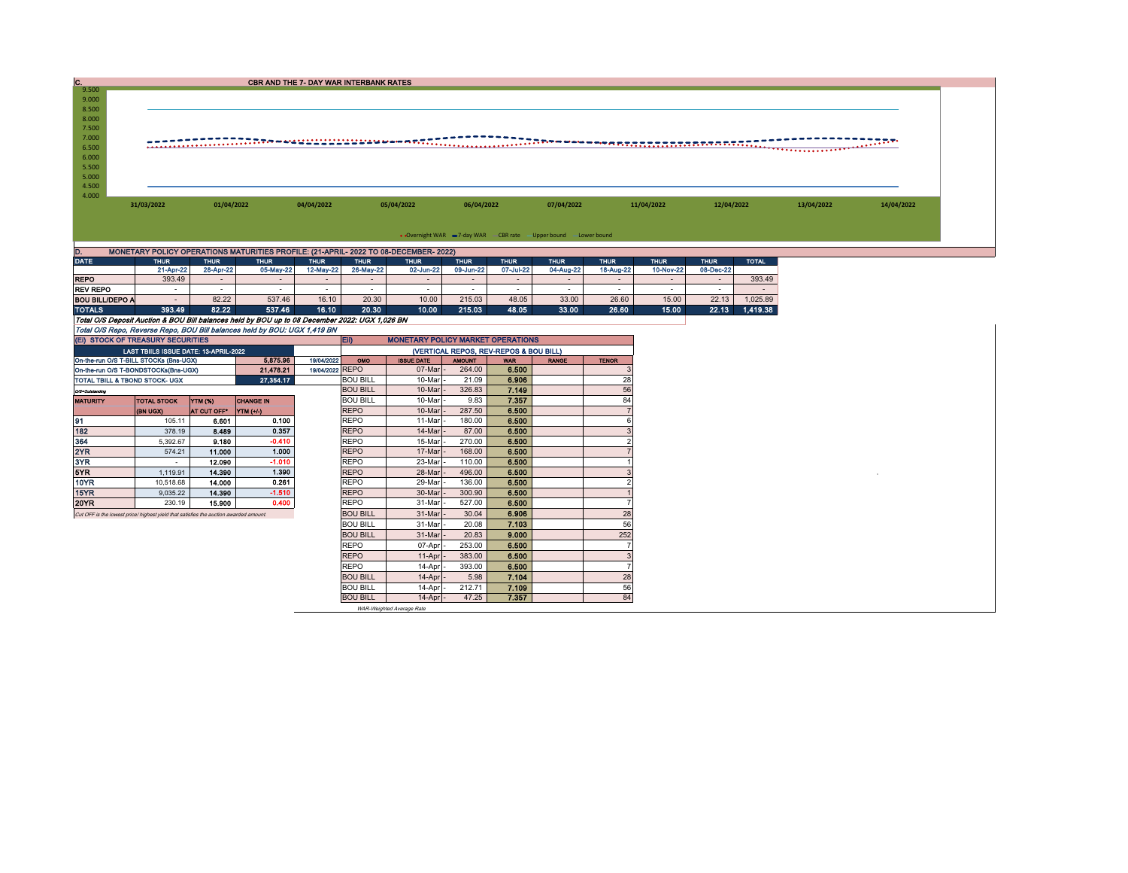| c.                                                                                                                                                                       | <b>CBR AND THE 7- DAY WAR INTERBANK RATES</b>                                         |                  |                                                                                                          |                 |                            |                           |                  |                     |                |                     |             |             |              |            |  |  |
|--------------------------------------------------------------------------------------------------------------------------------------------------------------------------|---------------------------------------------------------------------------------------|------------------|----------------------------------------------------------------------------------------------------------|-----------------|----------------------------|---------------------------|------------------|---------------------|----------------|---------------------|-------------|-------------|--------------|------------|--|--|
| 9.500<br>9.000<br>8.500<br>8.000<br>7.500<br>7.000                                                                                                                       |                                                                                       |                  |                                                                                                          |                 |                            |                           |                  |                     |                |                     |             |             |              |            |  |  |
| 6.500                                                                                                                                                                    |                                                                                       |                  |                                                                                                          |                 |                            |                           |                  |                     |                |                     |             |             |              |            |  |  |
| 6.000                                                                                                                                                                    |                                                                                       |                  |                                                                                                          |                 |                            |                           |                  |                     |                |                     |             |             |              |            |  |  |
| 5.500                                                                                                                                                                    |                                                                                       |                  |                                                                                                          |                 |                            |                           |                  |                     |                |                     |             |             |              |            |  |  |
| 5.000                                                                                                                                                                    |                                                                                       |                  |                                                                                                          |                 |                            |                           |                  |                     |                |                     |             |             |              |            |  |  |
| 4.500                                                                                                                                                                    |                                                                                       |                  |                                                                                                          |                 |                            |                           |                  |                     |                |                     |             |             |              |            |  |  |
| 4.000                                                                                                                                                                    |                                                                                       |                  |                                                                                                          |                 |                            |                           |                  |                     |                |                     |             |             |              |            |  |  |
|                                                                                                                                                                          | 31/03/2022<br>01/04/2022                                                              |                  | 04/04/2022                                                                                               |                 | 05/04/2022                 | 06/04/2022                |                  | 07/04/2022          |                | 11/04/2022          | 12/04/2022  |             | 13/04/2022   | 14/04/2022 |  |  |
|                                                                                                                                                                          |                                                                                       |                  |                                                                                                          |                 |                            |                           |                  |                     |                |                     |             |             |              |            |  |  |
|                                                                                                                                                                          |                                                                                       |                  |                                                                                                          |                 |                            |                           |                  |                     |                |                     |             |             |              |            |  |  |
| • Overnight WAR -7-day WAR - CBR rate - Upper bound -Lower bound                                                                                                         |                                                                                       |                  |                                                                                                          |                 |                            |                           |                  |                     |                |                     |             |             |              |            |  |  |
| D.<br>MONETARY POLICY OPERATIONS MATURITIES PROFILE: (21-APRIL- 2022 TO 08-DECEMBER- 2022)                                                                               |                                                                                       |                  |                                                                                                          |                 |                            |                           |                  |                     |                |                     |             |             |              |            |  |  |
| <b>DATE</b>                                                                                                                                                              | <b>THUR</b>                                                                           | <b>THUR</b>      | <b>THUR</b>                                                                                              | <b>THUR</b>     | <b>THUR</b>                | <b>THUR</b>               | <b>THUR</b>      | <b>THUR</b>         | <b>THUR</b>    | <b>THUR</b>         | <b>THUR</b> | <b>THUR</b> | <b>TOTAL</b> |            |  |  |
|                                                                                                                                                                          | 21-Apr-22                                                                             | 28-Apr-22        | 05-May-22                                                                                                | 12-May-22       | 26-May-22                  | 02-Jun-22                 | 09-Jun-22        | 07-Jul-22           | 04-Aug-22      | 18-Aug-22           | 10-Nov-22   | 08-Dec-22   |              |            |  |  |
| <b>REPO</b>                                                                                                                                                              | 393.49                                                                                | $\sim$           |                                                                                                          | $\sim$          | $\overline{\phantom{a}}$   | $\overline{\phantom{a}}$  | $\mathcal{L}$    | $\bar{\phantom{a}}$ |                | $\sim$              | $\sim$      | $\sim$      | 393.49       |            |  |  |
| <b>REV REPO</b>                                                                                                                                                          | $\sim$                                                                                | $\sim$           | $\sim$                                                                                                   | $\sim$          | $\sim$                     | $\sim$                    | $\sim$           | $\sim$              | $\sim$         | $\sim$              | $\sim$      | in 1999.    | in 1919.     |            |  |  |
| <b>BOU BILL/DEPO A</b>                                                                                                                                                   | $\sim$                                                                                | 82.22<br>82.22   | 537.46                                                                                                   | 16.10           | 20.30                      | 10.00<br>10.00            | 215.03           | 48.05<br>48.05      | 33.00<br>33.00 | 26.60<br>26.60      | 15.00       | 22.13       | 1,025.89     |            |  |  |
| <b>TOTALS</b>                                                                                                                                                            | 393,49                                                                                |                  | 537.46<br>Total O/S Deposit Auction & BOU Bill balances held by BOU up to 08 December 2022: UGX 1,026 BN | 16.10           | 20.30                      |                           | 215.03           |                     |                |                     | 15.00       | 22.13       | 1,419.38     |            |  |  |
|                                                                                                                                                                          |                                                                                       |                  |                                                                                                          |                 |                            |                           |                  |                     |                |                     |             |             |              |            |  |  |
| Total O/S Repo, Reverse Repo, BOU Bill balances held by BOU: UGX 1,419 BN                                                                                                |                                                                                       |                  |                                                                                                          |                 |                            |                           |                  |                     |                |                     |             |             |              |            |  |  |
| (EI) STOCK OF TREASURY SECURITIES<br><b>MONETARY POLICY MARKET OPERATIONS</b><br>EII)<br>(VERTICAL REPOS, REV-REPOS & BOU BILL)<br>LAST TBIILS ISSUE DATE: 13-APRIL-2022 |                                                                                       |                  |                                                                                                          |                 |                            |                           |                  |                     |                |                     |             |             |              |            |  |  |
| On-the-run O/S T-BILL STOCKs (Bns-UGX)                                                                                                                                   | 19/04/2022                                                                            | OMO              | <b>ISSUE DATE</b>                                                                                        | <b>AMOUNT</b>   | <b>WAR</b>                 | <b>RANGE</b>              | <b>TENOR</b>     |                     |                |                     |             |             |              |            |  |  |
| 5,875.96<br>21,478.21<br>On-the-run O/S T-BONDSTOCKs(Bns-UGX)                                                                                                            |                                                                                       |                  | 19/04/2022 REPO                                                                                          |                 | 07-Mar                     | 264.00                    | 6.500            |                     |                |                     |             |             |              |            |  |  |
| 27,354.17<br>TOTAL TBILL & TBOND STOCK- UGX                                                                                                                              |                                                                                       |                  |                                                                                                          | <b>BOU BILL</b> | 10-Mar                     | 21.09                     | 6.906            |                     | 28             |                     |             |             |              |            |  |  |
| OfficeDotelanding                                                                                                                                                        |                                                                                       |                  |                                                                                                          |                 | <b>BOU BILL</b>            | 10-Mar                    | 326.83           | 7.149               |                | 56                  |             |             |              |            |  |  |
| <b>MATURITY</b>                                                                                                                                                          | TOTAL STOCK                                                                           | YTM (%)          | <b>CHANGE IN</b>                                                                                         |                 | <b>BOU BILL</b>            | 10-Mar                    | 9.83             | 7.357               |                | 84                  |             |             |              |            |  |  |
|                                                                                                                                                                          | (BN UGX)                                                                              | AT CUT OFF*      | YTM (+/-)                                                                                                |                 | <b>REPO</b>                | 10-Mar                    | 287.50           | 6,500               |                |                     |             |             |              |            |  |  |
| 91                                                                                                                                                                       | 105.11                                                                                | 6.601            | 0.100                                                                                                    |                 | <b>REPO</b>                | 11-Mar                    | 180.00           | 6.500               |                | 6                   |             |             |              |            |  |  |
| 182                                                                                                                                                                      | 378.19                                                                                | 8.489            | 0.357                                                                                                    |                 | <b>REPO</b>                | 14-Mar                    | 87.00            | 6.500               |                | 3                   |             |             |              |            |  |  |
| 364                                                                                                                                                                      | 5,392.67                                                                              | 9.180            | $-0.410$                                                                                                 |                 | <b>REPO</b>                | 15-Mar                    | 270.00           | 6.500               |                | $\overline{2}$      |             |             |              |            |  |  |
| 2YR                                                                                                                                                                      | 574.21                                                                                | 11.000           | 1.000                                                                                                    |                 | <b>REPO</b>                | 17-Mar                    | 168.00           | 6.500               |                |                     |             |             |              |            |  |  |
| 3YR<br>5YR                                                                                                                                                               | $\sim$                                                                                | 12.090           | $-1.010$<br>1.390                                                                                        |                 | <b>REPO</b>                | 23-Mar                    | 110.00           | 6.500               |                |                     |             |             |              |            |  |  |
| 10YR                                                                                                                                                                     | 1.119.91<br>10,518.68                                                                 | 14,390<br>14.000 | 0.261                                                                                                    |                 | <b>REPO</b><br><b>REPO</b> | 28-Mar<br>29-Mar          | 496.00<br>136.00 | 6.500<br>6.500      |                | 3<br>$\overline{2}$ |             |             |              |            |  |  |
| 15YR                                                                                                                                                                     | 9,035.22                                                                              | 14.390           | $-1.510$                                                                                                 |                 | <b>REPO</b>                | 30-Mar                    | 300.90           | 6.500               |                |                     |             |             |              |            |  |  |
| 20YR                                                                                                                                                                     | 230.19                                                                                | 15.900           | 0.400                                                                                                    |                 | <b>REPO</b>                | 31-Mar                    | 527.00           | 6.500               |                |                     |             |             |              |            |  |  |
|                                                                                                                                                                          | Cut OFF is the lowest price/ highest yield that satisfies the auction awarded amount. |                  |                                                                                                          |                 | <b>BOU BILL</b>            | 31-Mar                    | 30.04            | 6.906               |                | 28                  |             |             |              |            |  |  |
|                                                                                                                                                                          |                                                                                       |                  |                                                                                                          |                 | <b>BOU BILL</b>            | 31-Mar                    | 20.08            | 7.103               |                | 56                  |             |             |              |            |  |  |
|                                                                                                                                                                          |                                                                                       |                  |                                                                                                          |                 | <b>BOU BILL</b>            | 31-Mar                    | 20.83            | 9.000               |                | 252                 |             |             |              |            |  |  |
|                                                                                                                                                                          |                                                                                       |                  |                                                                                                          |                 | <b>REPO</b>                | 07-Apr                    | 253.00           | 6.500               |                |                     |             |             |              |            |  |  |
|                                                                                                                                                                          |                                                                                       |                  |                                                                                                          |                 | <b>REPO</b>                | 11-Apr                    | 383.00           | 6.500               |                | $\overline{3}$      |             |             |              |            |  |  |
|                                                                                                                                                                          |                                                                                       |                  |                                                                                                          |                 | <b>REPO</b>                | 14-Apr                    | 393.00           | 6.500               |                |                     |             |             |              |            |  |  |
|                                                                                                                                                                          |                                                                                       |                  |                                                                                                          |                 | <b>BOU BILL</b>            | 14-Apr                    | 5.98             | 7.104               |                | 28                  |             |             |              |            |  |  |
|                                                                                                                                                                          |                                                                                       |                  |                                                                                                          |                 | <b>BOU BILL</b>            | 14-Apr                    | 212.71           | 7.109               |                | 56                  |             |             |              |            |  |  |
|                                                                                                                                                                          |                                                                                       |                  |                                                                                                          |                 | <b>BOU BILL</b>            | 14-Apr                    | 47.25            | 7.357               |                | 84                  |             |             |              |            |  |  |
|                                                                                                                                                                          |                                                                                       |                  |                                                                                                          |                 |                            | WAR-Weighted Average Rate |                  |                     |                |                     |             |             |              |            |  |  |